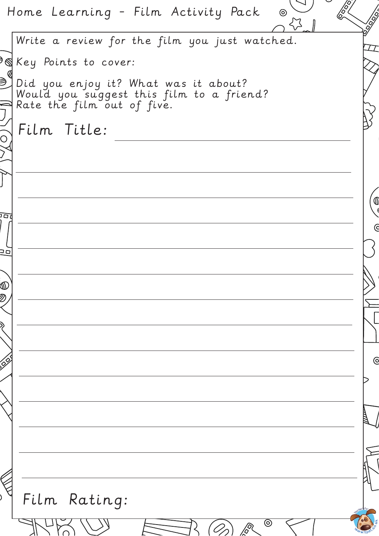Home Learning - Film Activity Pack  $\odot$ Write a review for the film you just watched.  $\Theta$ Key Points to cover: ⋑ఀ Did you enjoy it? What was it about? Would you suggest this film to a friend? Rate the film out of five. Film Title: $\overline{O}$ הם  $\overline{6}$  $\overline{a}$  $\mathbb{Q}$  $\bar{Z}$  $\overline{6}$ Film Rating:  $\frac{\sqrt{2}}{\sqrt{2}}$  $\circledcirc$  $\mathscr{D}_\mathscr{D}$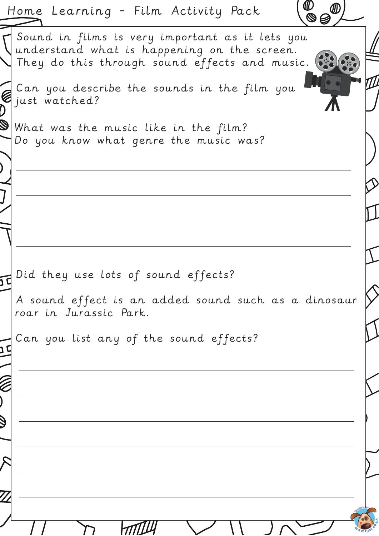| ₡<br>Home Learning - Film Activity Pack<br>$\bar{\mathbf{S}}$                                                                                                  |  |
|----------------------------------------------------------------------------------------------------------------------------------------------------------------|--|
| Sound in films is very important as it lets you<br>$\sqrt{u}$ nderstand what is happening on the screen.<br>They do this through sound effects and music. (52) |  |
| Can you describe the sounds in the film you                                                                                                                    |  |
| $\mathbb S$ what was the music like in the film?<br>Do you know what genre the music was?                                                                      |  |
|                                                                                                                                                                |  |
|                                                                                                                                                                |  |
| Did they use lots of sound effects?<br>A sound effect is an added sound such as a dinosaur                                                                     |  |
| roar in Jurassic Park.<br>Can you list any of the sound effects?                                                                                               |  |
|                                                                                                                                                                |  |
|                                                                                                                                                                |  |
|                                                                                                                                                                |  |
|                                                                                                                                                                |  |
|                                                                                                                                                                |  |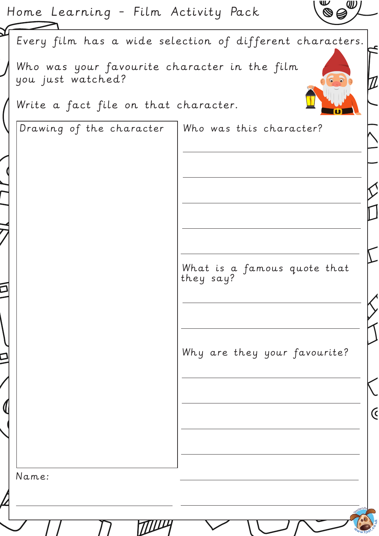| Home Learning - Film Activity Pack                                | w                                                        |  |
|-------------------------------------------------------------------|----------------------------------------------------------|--|
|                                                                   | Every film has a wide selection of different characters. |  |
| Who was your favourite character in the film<br>you just watched? |                                                          |  |
| Write a fact file on that character.                              |                                                          |  |
| $\mid$ Drawing of the character $\mid$ Who was this character?    |                                                          |  |
|                                                                   |                                                          |  |
|                                                                   |                                                          |  |
|                                                                   |                                                          |  |
|                                                                   |                                                          |  |
|                                                                   | What is a famous quote that<br>they say?                 |  |
|                                                                   |                                                          |  |
|                                                                   | Why are they your favourite?                             |  |
|                                                                   |                                                          |  |
|                                                                   |                                                          |  |
|                                                                   |                                                          |  |
| Name:                                                             |                                                          |  |
|                                                                   |                                                          |  |

**TOULY** 

 $e^{\Theta}$ Ē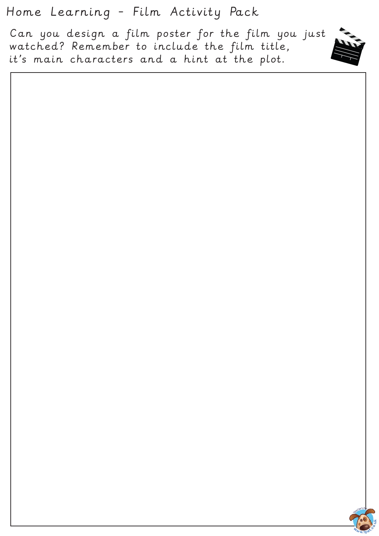Home Learning - Film Activity Pack

Can you design a film poster for the film you just watched? Remember to include the film title, it's main characters and a hint at the plot.



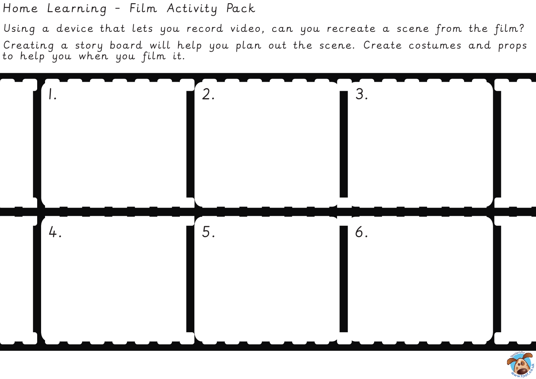Home Learning - Film Activity Pack

Using a device that lets you record video, can you recreate a scene from the film? Creating a story board will help you plan out the scene. Create costumes and props to help you when you film it.